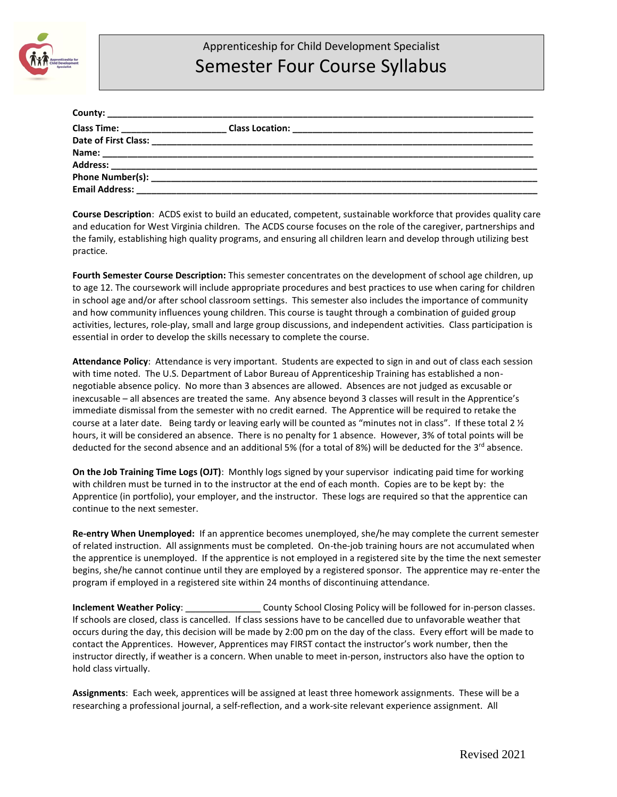

## Apprenticeship for Child Development Specialist Semester Four Course Syllabus

| Class Time: _______________________ |  |
|-------------------------------------|--|
| Date of First Class:                |  |
|                                     |  |
|                                     |  |
|                                     |  |
| <b>Email Address:</b>               |  |

**Course Description**: ACDS exist to build an educated, competent, sustainable workforce that provides quality care and education for West Virginia children. The ACDS course focuses on the role of the caregiver, partnerships and the family, establishing high quality programs, and ensuring all children learn and develop through utilizing best practice.

**Fourth Semester Course Description:** This semester concentrates on the development of school age children, up to age 12. The coursework will include appropriate procedures and best practices to use when caring for children in school age and/or after school classroom settings. This semester also includes the importance of community and how community influences young children. This course is taught through a combination of guided group activities, lectures, role-play, small and large group discussions, and independent activities. Class participation is essential in order to develop the skills necessary to complete the course.

**Attendance Policy**: Attendance is very important. Students are expected to sign in and out of class each session with time noted. The U.S. Department of Labor Bureau of Apprenticeship Training has established a nonnegotiable absence policy. No more than 3 absences are allowed. Absences are not judged as excusable or inexcusable – all absences are treated the same. Any absence beyond 3 classes will result in the Apprentice's immediate dismissal from the semester with no credit earned. The Apprentice will be required to retake the course at a later date. Being tardy or leaving early will be counted as "minutes not in class". If these total 2 ½ hours, it will be considered an absence. There is no penalty for 1 absence. However, 3% of total points will be deducted for the second absence and an additional 5% (for a total of 8%) will be deducted for the 3<sup>rd</sup> absence.

**On the Job Training Time Logs (OJT)**: Monthly logs signed by your supervisor indicating paid time for working with children must be turned in to the instructor at the end of each month. Copies are to be kept by: the Apprentice (in portfolio), your employer, and the instructor. These logs are required so that the apprentice can continue to the next semester.

**Re-entry When Unemployed:** If an apprentice becomes unemployed, she/he may complete the current semester of related instruction. All assignments must be completed. On-the-job training hours are not accumulated when the apprentice is unemployed. If the apprentice is not employed in a registered site by the time the next semester begins, she/he cannot continue until they are employed by a registered sponsor. The apprentice may re-enter the program if employed in a registered site within 24 months of discontinuing attendance.

**Inclement Weather Policy**: \_\_\_\_\_\_\_\_\_\_\_\_\_\_\_ County School Closing Policy will be followed for in-person classes. If schools are closed, class is cancelled. If class sessions have to be cancelled due to unfavorable weather that occurs during the day, this decision will be made by 2:00 pm on the day of the class. Every effort will be made to contact the Apprentices. However, Apprentices may FIRST contact the instructor's work number, then the instructor directly, if weather is a concern. When unable to meet in-person, instructors also have the option to hold class virtually.

**Assignments**: Each week, apprentices will be assigned at least three homework assignments. These will be a researching a professional journal, a self-reflection, and a work-site relevant experience assignment. All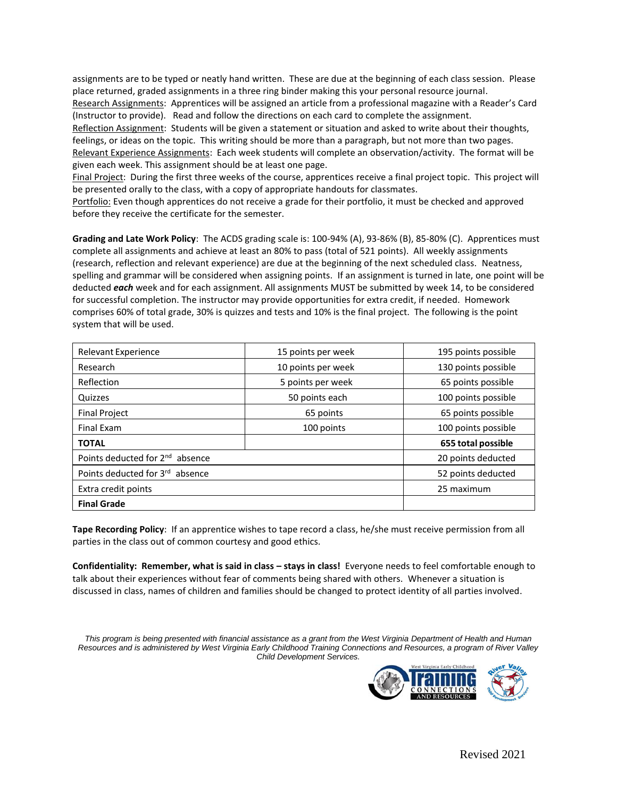assignments are to be typed or neatly hand written. These are due at the beginning of each class session. Please place returned, graded assignments in a three ring binder making this your personal resource journal.

Research Assignments: Apprentices will be assigned an article from a professional magazine with a Reader's Card (Instructor to provide). Read and follow the directions on each card to complete the assignment.

Reflection Assignment: Students will be given a statement or situation and asked to write about their thoughts, feelings, or ideas on the topic. This writing should be more than a paragraph, but not more than two pages. Relevant Experience Assignments: Each week students will complete an observation/activity. The format will be given each week. This assignment should be at least one page.

Final Project: During the first three weeks of the course, apprentices receive a final project topic. This project will be presented orally to the class, with a copy of appropriate handouts for classmates.

Portfolio: Even though apprentices do not receive a grade for their portfolio, it must be checked and approved before they receive the certificate for the semester.

**Grading and Late Work Policy**: The ACDS grading scale is: 100-94% (A), 93-86% (B), 85-80% (C). Apprentices must complete all assignments and achieve at least an 80% to pass (total of 521 points). All weekly assignments (research, reflection and relevant experience) are due at the beginning of the next scheduled class. Neatness, spelling and grammar will be considered when assigning points. If an assignment is turned in late, one point will be deducted *each* week and for each assignment. All assignments MUST be submitted by week 14, to be considered for successful completion. The instructor may provide opportunities for extra credit, if needed. Homework comprises 60% of total grade, 30% is quizzes and tests and 10% is the final project. The following is the point system that will be used.

| <b>Relevant Experience</b>                  | 15 points per week | 195 points possible |
|---------------------------------------------|--------------------|---------------------|
| Research                                    | 10 points per week | 130 points possible |
| Reflection                                  | 5 points per week  | 65 points possible  |
| Quizzes                                     | 50 points each     | 100 points possible |
| <b>Final Project</b>                        | 65 points          | 65 points possible  |
| <b>Final Exam</b>                           | 100 points         | 100 points possible |
| <b>TOTAL</b>                                |                    | 655 total possible  |
| Points deducted for 2 <sup>nd</sup> absence | 20 points deducted |                     |
| Points deducted for 3rd absence             | 52 points deducted |                     |
| Extra credit points                         | 25 maximum         |                     |
| <b>Final Grade</b>                          |                    |                     |

**Tape Recording Policy**: If an apprentice wishes to tape record a class, he/she must receive permission from all parties in the class out of common courtesy and good ethics.

**Confidentiality: Remember, what is said in class – stays in class!** Everyone needs to feel comfortable enough to talk about their experiences without fear of comments being shared with others. Whenever a situation is discussed in class, names of children and families should be changed to protect identity of all parties involved.

*This program is being presented with financial assistance as a grant from the West Virginia Department of Health and Human Resources and is administered by West Virginia Early Childhood Training Connections and Resources, a program of River Valley Child Development Services.*